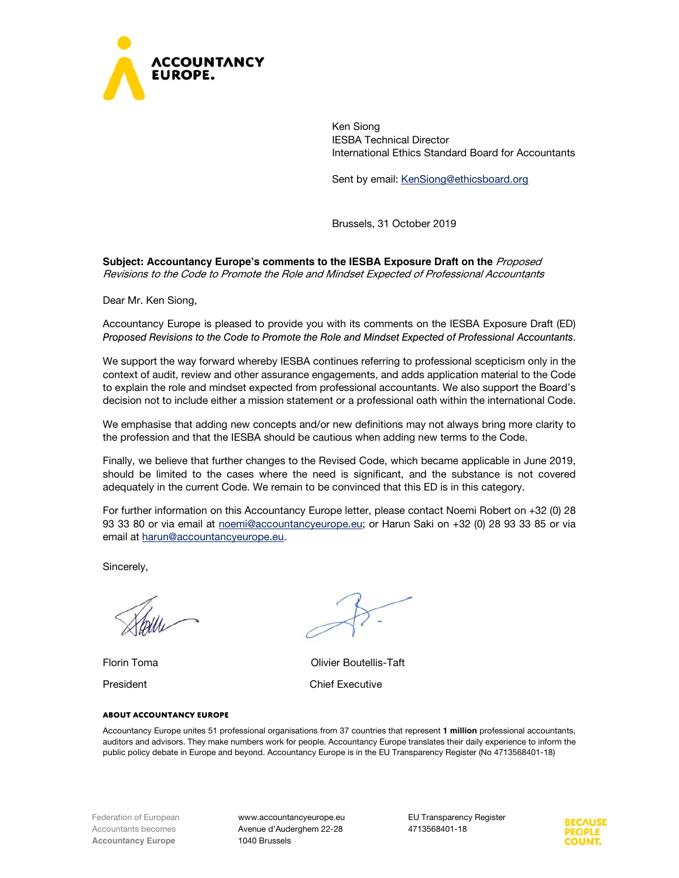

Ken Siong IESBA Technical Director International Ethics Standard Board for Accountants

Sent by email: KenSiong@ethicsboard.org

Brussels, 31 October 2019

**Subject: Accountancy Europe's comments to the IESBA Exposure Draft on the** Proposed Revisions to the Code to Promote the Role and Mindset Expected of Professional Accountants

Dear Mr. Ken Siong,

Accountancy Europe is pleased to provide you with its comments on the IESBA Exposure Draft (ED) *Proposed Revisions to the Code to Promote the Role and Mindset Expected of Professional Accountants*.

We support the way forward whereby IESBA continues referring to professional scepticism only in the context of audit, review and other assurance engagements, and adds application material to the Code to explain the role and mindset expected from professional accountants. We also support the Board's decision not to include either a mission statement or a professional oath within the international Code.

We emphasise that adding new concepts and/or new definitions may not always bring more clarity to the profession and that the IESBA should be cautious when adding new terms to the Code.

Finally, we believe that further changes to the Revised Code, which became applicable in June 2019, should be limited to the cases where the need is significant, and the substance is not covered adequately in the current Code. We remain to be convinced that this ED is in this category.

For further information on this Accountancy Europe letter, please contact Noemi Robert on +32 (0) 28 93 33 80 or via email at noemi@accountancyeurope.eu; or Harun Saki on +32 (0) 28 93 33 85 or via email at harun@accountancyeurope.eu.

Sincerely,

Florin Toma Olivier Boutellis-Taft President **Chief Executive** 

**About Accountancy Europe** 

Accountancy Europe unites 51 professional organisations from 37 countries that represent **1 million** professional accountants, auditors and advisors. They make numbers work for people. Accountancy Europe translates their daily experience to inform the public policy debate in Europe and beyond. Accountancy Europe is in the EU Transparency Register (No 4713568401-18)

www.accountancyeurope.eu Avenue d'Auderghem 22-28 1040 Brussels

EU Transparency Register 4713568401-18

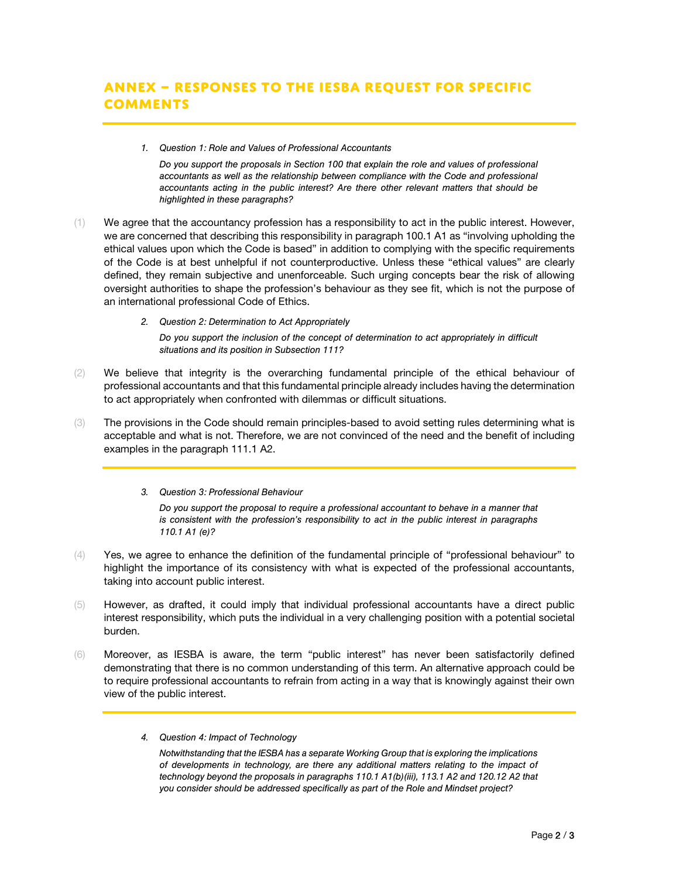*1. Question 1: Role and Values of Professional Accountants* 

*Do you support the proposals in Section 100 that explain the role and values of professional accountants as well as the relationship between compliance with the Code and professional accountants acting in the public interest? Are there other relevant matters that should be highlighted in these paragraphs?* 

- (1) We agree that the accountancy profession has a responsibility to act in the public interest. However, we are concerned that describing this responsibility in paragraph 100.1 A1 as "involving upholding the ethical values upon which the Code is based" in addition to complying with the specific requirements of the Code is at best unhelpful if not counterproductive. Unless these "ethical values" are clearly defined, they remain subjective and unenforceable. Such urging concepts bear the risk of allowing oversight authorities to shape the profession's behaviour as they see fit, which is not the purpose of an international professional Code of Ethics.
	- *2. Question 2: Determination to Act Appropriately*

*Do you support the inclusion of the concept of determination to act appropriately in difficult situations and its position in Subsection 111?* 

- (2) We believe that integrity is the overarching fundamental principle of the ethical behaviour of professional accountants and that this fundamental principle already includes having the determination to act appropriately when confronted with dilemmas or difficult situations.
- (3) The provisions in the Code should remain principles-based to avoid setting rules determining what is acceptable and what is not. Therefore, we are not convinced of the need and the benefit of including examples in the paragraph 111.1 A2.
	- *3. Question 3: Professional Behaviour*

*Do you support the proposal to require a professional accountant to behave in a manner that is consistent with the profession's responsibility to act in the public interest in paragraphs 110.1 A1 (e)?* 

- (4) Yes, we agree to enhance the definition of the fundamental principle of "professional behaviour" to highlight the importance of its consistency with what is expected of the professional accountants, taking into account public interest.
- (5) However, as drafted, it could imply that individual professional accountants have a direct public interest responsibility, which puts the individual in a very challenging position with a potential societal burden.
- (6) Moreover, as IESBA is aware, the term "public interest" has never been satisfactorily defined demonstrating that there is no common understanding of this term. An alternative approach could be to require professional accountants to refrain from acting in a way that is knowingly against their own view of the public interest.
	- *4. Question 4: Impact of Technology*

*Notwithstanding that the IESBA has a separate Working Group that is exploring the implications of developments in technology, are there any additional matters relating to the impact of technology beyond the proposals in paragraphs 110.1 A1(b)(iii), 113.1 A2 and 120.12 A2 that you consider should be addressed specifically as part of the Role and Mindset project?*